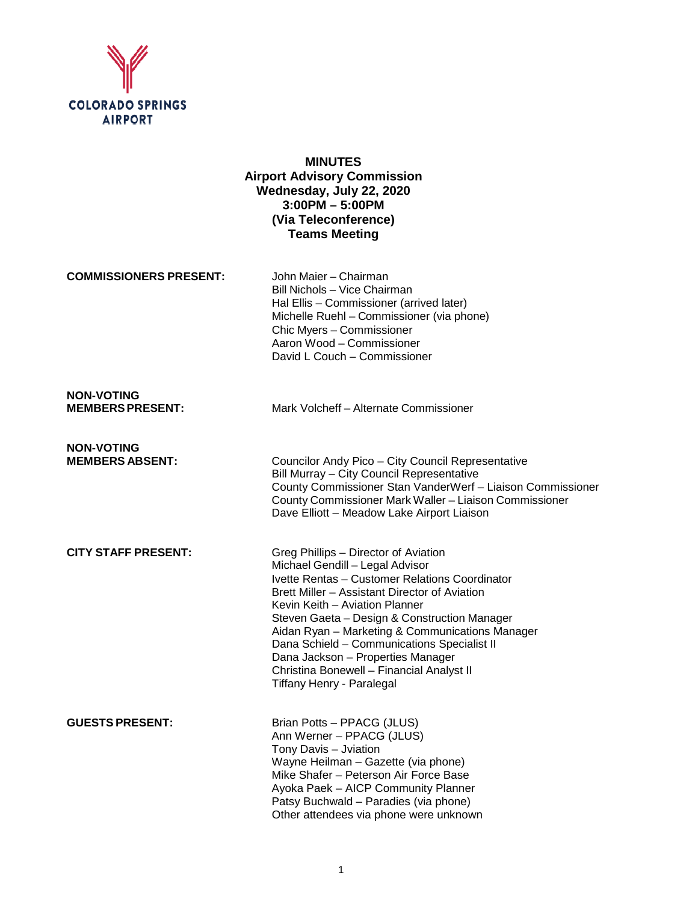

# **MINUTES Airport Advisory Commission Wednesday, July 22, 2020 3:00PM – 5:00PM (Via Teleconference) Teams Meeting**

**COMMISSIONERS PRESENT:** John Maier – Chairman

Bill Nichols – Vice Chairman Hal Ellis – Commissioner (arrived later) Michelle Ruehl – Commissioner (via phone) Chic Myers – Commissioner Aaron Wood – Commissioner David L Couch – Commissioner

**NON-VOTING**

Mark Volcheff – Alternate Commissioner

**NON-VOTING**

**Councilor Andy Pico – City Council Representative** Bill Murray – City Council Representative County Commissioner Stan VanderWerf – Liaison Commissioner County Commissioner Mark Waller – Liaison Commissioner Dave Elliott – Meadow Lake Airport Liaison

**CITY STAFF PRESENT:** Greg Phillips – Director of Aviation Michael Gendill – Legal Advisor Ivette Rentas – Customer Relations Coordinator Brett Miller – Assistant Director of Aviation Kevin Keith – Aviation Planner Steven Gaeta – Design & Construction Manager Aidan Ryan – Marketing & Communications Manager Dana Schield – Communications Specialist II Dana Jackson – Properties Manager Christina Bonewell – Financial Analyst II Tiffany Henry - Paralegal

**GUESTS PRESENT:** Brian Potts – PPACG (JLUS) Ann Werner – PPACG (JLUS) Tony Davis – Jviation Wayne Heilman – Gazette (via phone) Mike Shafer – Peterson Air Force Base Ayoka Paek – AICP Community Planner Patsy Buchwald – Paradies (via phone) Other attendees via phone were unknown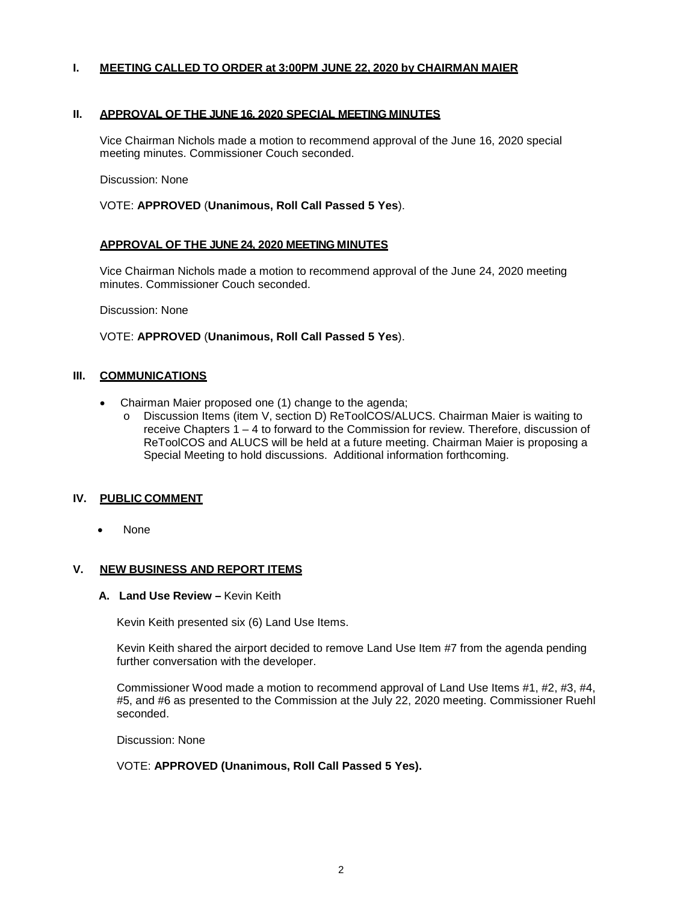## **I. MEETING CALLED TO ORDER at 3:00PM JUNE 22, 2020 by CHAIRMAN MAIER**

### **II. APPROVAL OF THE JUNE 16, 2020 SPECIAL MEETING MINUTES**

Vice Chairman Nichols made a motion to recommend approval of the June 16, 2020 special meeting minutes. Commissioner Couch seconded.

Discussion: None

VOTE: **APPROVED** (**Unanimous, Roll Call Passed 5 Yes**).

### **APPROVAL OF THE JUNE 24, 2020 MEETING MINUTES**

Vice Chairman Nichols made a motion to recommend approval of the June 24, 2020 meeting minutes. Commissioner Couch seconded.

Discussion: None

#### VOTE: **APPROVED** (**Unanimous, Roll Call Passed 5 Yes**).

### **III. COMMUNICATIONS**

- Chairman Maier proposed one (1) change to the agenda;
	- o Discussion Items (item V, section D) ReToolCOS/ALUCS. Chairman Maier is waiting to receive Chapters 1 – 4 to forward to the Commission for review. Therefore, discussion of ReToolCOS and ALUCS will be held at a future meeting. Chairman Maier is proposing a Special Meeting to hold discussions. Additional information forthcoming.

### **IV. PUBLIC COMMENT**

• None

### **V. NEW BUSINESS AND REPORT ITEMS**

#### **A. Land Use Review –** Kevin Keith

Kevin Keith presented six (6) Land Use Items.

Kevin Keith shared the airport decided to remove Land Use Item #7 from the agenda pending further conversation with the developer.

Commissioner Wood made a motion to recommend approval of Land Use Items #1, #2, #3, #4, #5, and #6 as presented to the Commission at the July 22, 2020 meeting. Commissioner Ruehl seconded.

Discussion: None

### VOTE: **APPROVED (Unanimous, Roll Call Passed 5 Yes).**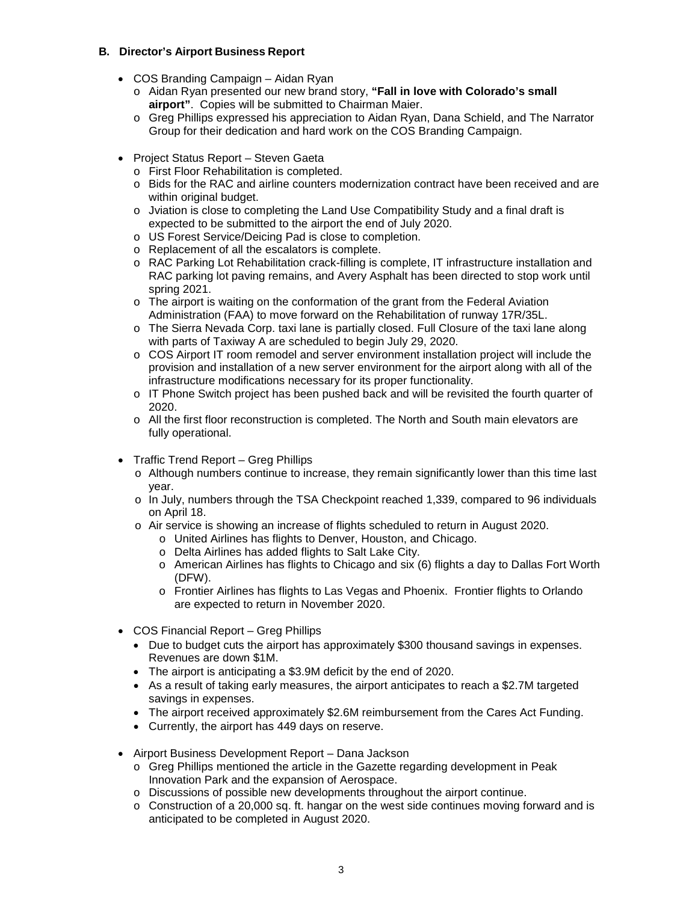# **B. Director's Airport Business Report**

- COS Branding Campaign Aidan Ryan
	- o Aidan Ryan presented our new brand story, **"Fall in love with Colorado's small airport"**. Copies will be submitted to Chairman Maier.
	- o Greg Phillips expressed his appreciation to Aidan Ryan, Dana Schield, and The Narrator Group for their dedication and hard work on the COS Branding Campaign.
- Project Status Report Steven Gaeta
	- o First Floor Rehabilitation is completed.
	- o Bids for the RAC and airline counters modernization contract have been received and are within original budget.
	- $\circ$  Jviation is close to completing the Land Use Compatibility Study and a final draft is expected to be submitted to the airport the end of July 2020.
	- o US Forest Service/Deicing Pad is close to completion.
	- o Replacement of all the escalators is complete.
	- o RAC Parking Lot Rehabilitation crack-filling is complete, IT infrastructure installation and RAC parking lot paving remains, and Avery Asphalt has been directed to stop work until spring 2021.
	- o The airport is waiting on the conformation of the grant from the Federal Aviation Administration (FAA) to move forward on the Rehabilitation of runway 17R/35L.
	- o The Sierra Nevada Corp. taxi lane is partially closed. Full Closure of the taxi lane along with parts of Taxiway A are scheduled to begin July 29, 2020.
	- o COS Airport IT room remodel and server environment installation project will include the provision and installation of a new server environment for the airport along with all of the infrastructure modifications necessary for its proper functionality.
	- o IT Phone Switch project has been pushed back and will be revisited the fourth quarter of 2020.
	- o All the first floor reconstruction is completed. The North and South main elevators are fully operational.
- Traffic Trend Report Greg Phillips
	- o Although numbers continue to increase, they remain significantly lower than this time last year.
	- o In July, numbers through the TSA Checkpoint reached 1,339, compared to 96 individuals on April 18.
	- o Air service is showing an increase of flights scheduled to return in August 2020.
		- o United Airlines has flights to Denver, Houston, and Chicago.
		- o Delta Airlines has added flights to Salt Lake City.
		- o American Airlines has flights to Chicago and six (6) flights a day to Dallas Fort Worth (DFW).
		- o Frontier Airlines has flights to Las Vegas and Phoenix. Frontier flights to Orlando are expected to return in November 2020.
- COS Financial Report Greg Phillips
	- Due to budget cuts the airport has approximately \$300 thousand savings in expenses. Revenues are down \$1M.
	- The airport is anticipating a \$3.9M deficit by the end of 2020.
	- As a result of taking early measures, the airport anticipates to reach a \$2.7M targeted savings in expenses.
	- The airport received approximately \$2.6M reimbursement from the Cares Act Funding.
	- Currently, the airport has 449 days on reserve.
- Airport Business Development Report Dana Jackson
	- o Greg Phillips mentioned the article in the Gazette regarding development in Peak Innovation Park and the expansion of Aerospace.
	- o Discussions of possible new developments throughout the airport continue.
	- $\circ$  Construction of a 20,000 sq. ft. hangar on the west side continues moving forward and is anticipated to be completed in August 2020.